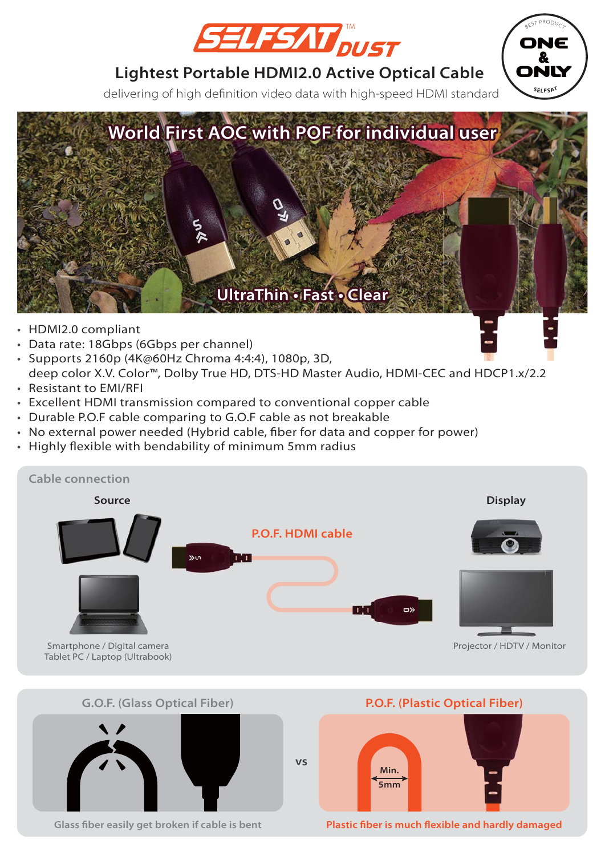

ONE & ONLY

**SELFSAT**

BEST PRODUCT

## **Lightest Portable HDMI2.0 Active Optical Cable**

delivering of high definition video data with high-speed HDMI standard



- HDMI2.0 compliant
- Data rate: 18Gbps (6Gbps per channel)
- Supports 2160p (4K@60Hz Chroma 4:4:4), 1080p, 3D, deep color X.V. Color™, Dolby True HD, DTS-HD Master Audio, HDMI-CEC and HDCP1.x/2.2
- Resistant to EMI/RFI
- Excellent HDMI transmission compared to conventional copper cable •
- Durable P.O.F cable comparing to G.O.F cable as not breakable •
- No external power needed (Hybrid cable, fiber for data and copper for power)
- Highly flexible with bendability of minimum 5mm radius





**Glass fiber easily get broken if cable is bent Plastic fiber is much flexible and hardly damaged**